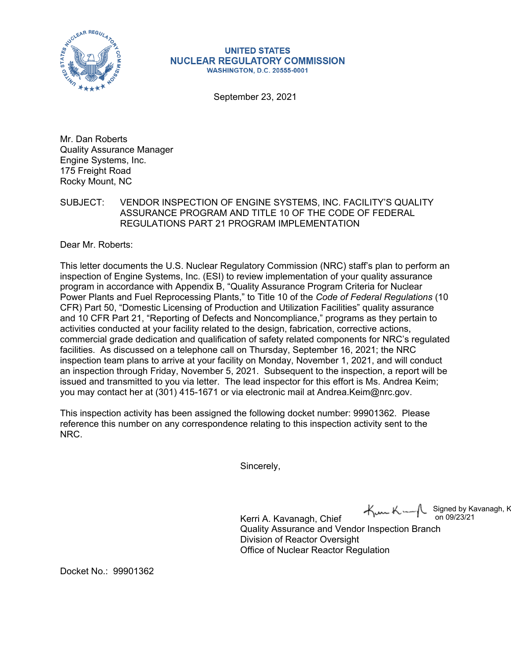

**UNITED STATES NUCLEAR REGULATORY COMMISSION WASHINGTON, D.C. 20555-0001** 

September 23, 2021

Mr. Dan Roberts Quality Assurance Manager Engine Systems, Inc. 175 Freight Road Rocky Mount, NC

SUBJECT: VENDOR INSPECTION OF ENGINE SYSTEMS, INC. FACILITY'S QUALITY ASSURANCE PROGRAM AND TITLE 10 OF THE CODE OF FEDERAL REGULATIONS PART 21 PROGRAM IMPLEMENTATION

Dear Mr. Roberts:

This letter documents the U.S. Nuclear Regulatory Commission (NRC) staff's plan to perform an inspection of Engine Systems, Inc. (ESI) to review implementation of your quality assurance program in accordance with Appendix B, "Quality Assurance Program Criteria for Nuclear Power Plants and Fuel Reprocessing Plants," to Title 10 of the *Code of Federal Regulations* (10 CFR) Part 50, "Domestic Licensing of Production and Utilization Facilities" quality assurance and 10 CFR Part 21, "Reporting of Defects and Noncompliance," programs as they pertain to activities conducted at your facility related to the design, fabrication, corrective actions, commercial grade dedication and qualification of safety related components for NRC's regulated facilities. As discussed on a telephone call on Thursday, September 16, 2021; the NRC inspection team plans to arrive at your facility on Monday, November 1, 2021, and will conduct an inspection through Friday, November 5, 2021. Subsequent to the inspection, a report will be issued and transmitted to you via letter. The lead inspector for this effort is Ms. Andrea Keim; you may contact her at (301) 415-1671 or via electronic mail at Andrea.Keim@nrc.gov.

This inspection activity has been assigned the following docket number: 99901362. Please reference this number on any correspondence relating to this inspection activity sent to the NRC.

Sincerely,

 $\forall m$ K-Signed by Kavanagh, K on 09/23/21

Kerri A. Kavanagh, Chief Quality Assurance and Vendor Inspection Branch Division of Reactor Oversight Office of Nuclear Reactor Regulation

Docket No.: 99901362